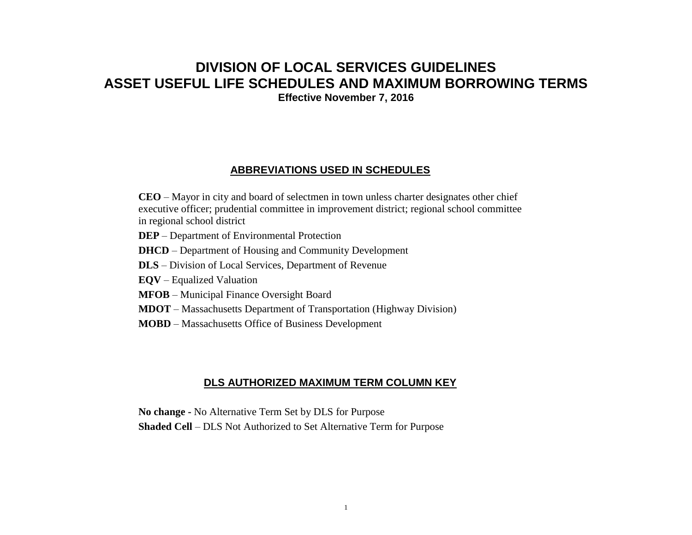## **DIVISION OF LOCAL SERVICES GUIDELINES ASSET USEFUL LIFE SCHEDULES AND MAXIMUM BORROWING TERMS Effective November 7, 2016**

#### **ABBREVIATIONS USED IN SCHEDULES**

**CEO** – Mayor in city and board of selectmen in town unless charter designates other chief executive officer; prudential committee in improvement district; regional school committee in regional school district

- **DEP**  Department of Environmental Protection
- **DHCD** Department of Housing and Community Development
- **DLS** Division of Local Services, Department of Revenue
- **EQV** Equalized Valuation
- **MFOB** Municipal Finance Oversight Board
- **MDOT**  Massachusetts Department of Transportation (Highway Division)
- **MOBD**  Massachusetts Office of Business Development

#### **DLS AUTHORIZED MAXIMUM TERM COLUMN KEY**

**No change -** No Alternative Term Set by DLS for Purpose

**Shaded Cell** – DLS Not Authorized to Set Alternative Term for Purpose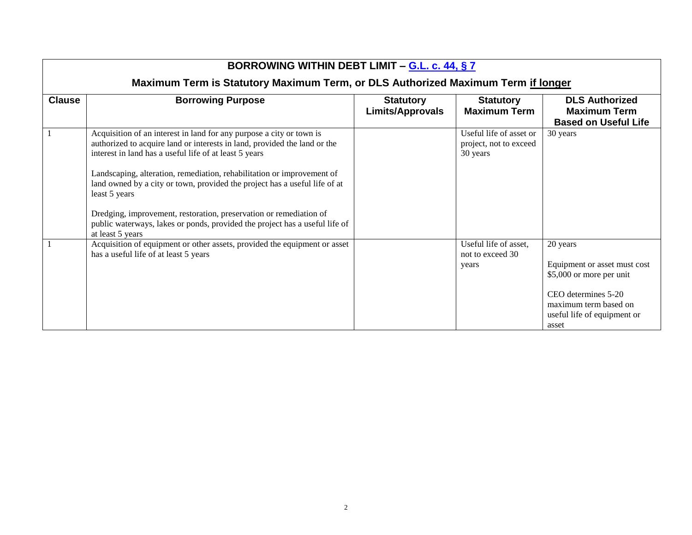| BORROWING WITHIN DEBT LIMIT – G.L. c. 44, § 7                                    |                                                                                                                                                                                                             |                                             |                                                               |                                                                             |  |  |
|----------------------------------------------------------------------------------|-------------------------------------------------------------------------------------------------------------------------------------------------------------------------------------------------------------|---------------------------------------------|---------------------------------------------------------------|-----------------------------------------------------------------------------|--|--|
| Maximum Term is Statutory Maximum Term, or DLS Authorized Maximum Term if longer |                                                                                                                                                                                                             |                                             |                                                               |                                                                             |  |  |
| <b>Clause</b>                                                                    | <b>Borrowing Purpose</b>                                                                                                                                                                                    | <b>Statutory</b><br><b>Limits/Approvals</b> | <b>Statutory</b><br><b>Maximum Term</b>                       | <b>DLS Authorized</b><br><b>Maximum Term</b><br><b>Based on Useful Life</b> |  |  |
|                                                                                  | Acquisition of an interest in land for any purpose a city or town is<br>authorized to acquire land or interests in land, provided the land or the<br>interest in land has a useful life of at least 5 years |                                             | Useful life of asset or<br>project, not to exceed<br>30 years | 30 years                                                                    |  |  |
|                                                                                  | Landscaping, alteration, remediation, rehabilitation or improvement of<br>land owned by a city or town, provided the project has a useful life of at<br>least 5 years                                       |                                             |                                                               |                                                                             |  |  |
|                                                                                  | Dredging, improvement, restoration, preservation or remediation of<br>public waterways, lakes or ponds, provided the project has a useful life of<br>at least 5 years                                       |                                             |                                                               |                                                                             |  |  |
|                                                                                  | Acquisition of equipment or other assets, provided the equipment or asset<br>has a useful life of at least 5 years                                                                                          |                                             | Useful life of asset,<br>not to exceed 30                     | 20 years                                                                    |  |  |
|                                                                                  |                                                                                                                                                                                                             |                                             | years                                                         | Equipment or asset must cost<br>\$5,000 or more per unit                    |  |  |
|                                                                                  |                                                                                                                                                                                                             |                                             |                                                               | CEO determines 5-20                                                         |  |  |
|                                                                                  |                                                                                                                                                                                                             |                                             |                                                               | maximum term based on<br>useful life of equipment or                        |  |  |
|                                                                                  |                                                                                                                                                                                                             |                                             |                                                               | asset                                                                       |  |  |

# **BORROWING WITHIN DEBT LIMIT – [G.L. c. 44, § 7](http://www.malegislature.gov/Laws/GeneralLaws/PartI/TitleVII/Chapter44/Section7)**

I.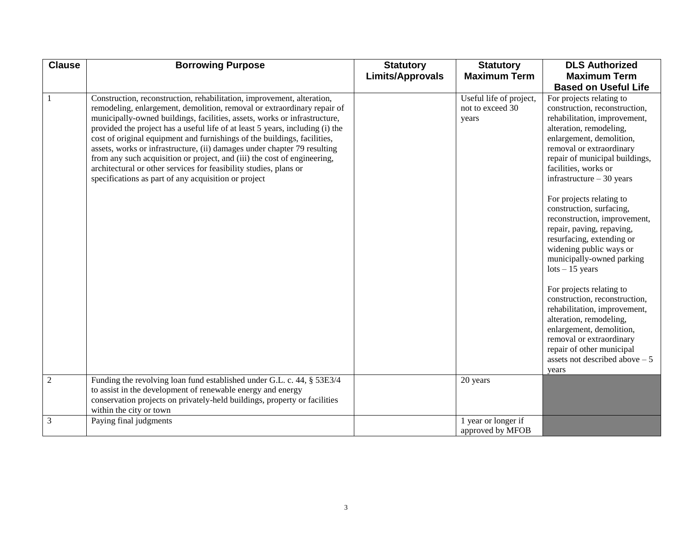| <b>Clause</b>  | <b>Borrowing Purpose</b>                                                                                                                                                                                                                                                                                                                                                                                                                                                                                                                                                                                                                                                         | <b>Statutory</b>        | <b>Statutory</b>                                     | <b>DLS Authorized</b>                                                                                                                                                                                                                                                                                                                                                                                                                                                                                                                                                                                                                                                                                                                                 |
|----------------|----------------------------------------------------------------------------------------------------------------------------------------------------------------------------------------------------------------------------------------------------------------------------------------------------------------------------------------------------------------------------------------------------------------------------------------------------------------------------------------------------------------------------------------------------------------------------------------------------------------------------------------------------------------------------------|-------------------------|------------------------------------------------------|-------------------------------------------------------------------------------------------------------------------------------------------------------------------------------------------------------------------------------------------------------------------------------------------------------------------------------------------------------------------------------------------------------------------------------------------------------------------------------------------------------------------------------------------------------------------------------------------------------------------------------------------------------------------------------------------------------------------------------------------------------|
|                |                                                                                                                                                                                                                                                                                                                                                                                                                                                                                                                                                                                                                                                                                  | <b>Limits/Approvals</b> | <b>Maximum Term</b>                                  | <b>Maximum Term</b>                                                                                                                                                                                                                                                                                                                                                                                                                                                                                                                                                                                                                                                                                                                                   |
|                |                                                                                                                                                                                                                                                                                                                                                                                                                                                                                                                                                                                                                                                                                  |                         |                                                      | <b>Based on Useful Life</b>                                                                                                                                                                                                                                                                                                                                                                                                                                                                                                                                                                                                                                                                                                                           |
| 1              | Construction, reconstruction, rehabilitation, improvement, alteration,<br>remodeling, enlargement, demolition, removal or extraordinary repair of<br>municipally-owned buildings, facilities, assets, works or infrastructure,<br>provided the project has a useful life of at least 5 years, including (i) the<br>cost of original equipment and furnishings of the buildings, facilities,<br>assets, works or infrastructure, (ii) damages under chapter 79 resulting<br>from any such acquisition or project, and (iii) the cost of engineering,<br>architectural or other services for feasibility studies, plans or<br>specifications as part of any acquisition or project |                         | Useful life of project,<br>not to exceed 30<br>years | For projects relating to<br>construction, reconstruction,<br>rehabilitation, improvement,<br>alteration, remodeling,<br>enlargement, demolition,<br>removal or extraordinary<br>repair of municipal buildings,<br>facilities, works or<br>infrastructure $-30$ years<br>For projects relating to<br>construction, surfacing,<br>reconstruction, improvement,<br>repair, paving, repaving,<br>resurfacing, extending or<br>widening public ways or<br>municipally-owned parking<br>$\frac{1}{5}$ years<br>For projects relating to<br>construction, reconstruction,<br>rehabilitation, improvement,<br>alteration, remodeling,<br>enlargement, demolition,<br>removal or extraordinary<br>repair of other municipal<br>assets not described above $-5$ |
|                |                                                                                                                                                                                                                                                                                                                                                                                                                                                                                                                                                                                                                                                                                  |                         |                                                      | years                                                                                                                                                                                                                                                                                                                                                                                                                                                                                                                                                                                                                                                                                                                                                 |
| $\overline{2}$ | Funding the revolving loan fund established under G.L. c. 44, § 53E3/4<br>to assist in the development of renewable energy and energy<br>conservation projects on privately-held buildings, property or facilities<br>within the city or town                                                                                                                                                                                                                                                                                                                                                                                                                                    |                         | 20 years                                             |                                                                                                                                                                                                                                                                                                                                                                                                                                                                                                                                                                                                                                                                                                                                                       |
| $\mathfrak{Z}$ | Paying final judgments                                                                                                                                                                                                                                                                                                                                                                                                                                                                                                                                                                                                                                                           |                         | 1 year or longer if<br>approved by MFOB              |                                                                                                                                                                                                                                                                                                                                                                                                                                                                                                                                                                                                                                                                                                                                                       |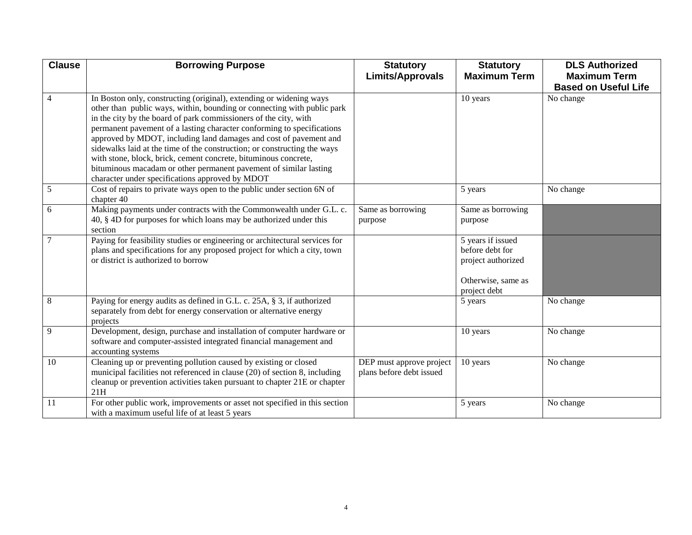| <b>Clause</b>   | <b>Borrowing Purpose</b>                                                                                                                       | <b>Statutory</b><br>Limits/Approvals                 | <b>Statutory</b><br><b>Maximum Term</b> | <b>DLS Authorized</b><br><b>Maximum Term</b> |
|-----------------|------------------------------------------------------------------------------------------------------------------------------------------------|------------------------------------------------------|-----------------------------------------|----------------------------------------------|
|                 |                                                                                                                                                |                                                      |                                         | <b>Based on Useful Life</b>                  |
| 4               | In Boston only, constructing (original), extending or widening ways<br>other than public ways, within, bounding or connecting with public park |                                                      | 10 years                                | No change                                    |
|                 | in the city by the board of park commissioners of the city, with                                                                               |                                                      |                                         |                                              |
|                 | permanent pavement of a lasting character conforming to specifications                                                                         |                                                      |                                         |                                              |
|                 | approved by MDOT, including land damages and cost of pavement and                                                                              |                                                      |                                         |                                              |
|                 | sidewalks laid at the time of the construction; or constructing the ways                                                                       |                                                      |                                         |                                              |
|                 | with stone, block, brick, cement concrete, bituminous concrete,<br>bituminous macadam or other permanent pavement of similar lasting           |                                                      |                                         |                                              |
|                 | character under specifications approved by MDOT                                                                                                |                                                      |                                         |                                              |
| $5\overline{)}$ | Cost of repairs to private ways open to the public under section 6N of                                                                         |                                                      | 5 years                                 | No change                                    |
|                 | chapter 40                                                                                                                                     |                                                      |                                         |                                              |
| 6               | Making payments under contracts with the Commonwealth under G.L. c.                                                                            | Same as borrowing                                    | Same as borrowing                       |                                              |
|                 | 40, § 4D for purposes for which loans may be authorized under this                                                                             | purpose                                              | purpose                                 |                                              |
|                 | section                                                                                                                                        |                                                      |                                         |                                              |
| $\overline{7}$  | Paying for feasibility studies or engineering or architectural services for                                                                    |                                                      | 5 years if issued                       |                                              |
|                 | plans and specifications for any proposed project for which a city, town<br>or district is authorized to borrow                                |                                                      | before debt for                         |                                              |
|                 |                                                                                                                                                |                                                      | project authorized                      |                                              |
|                 |                                                                                                                                                |                                                      | Otherwise, same as                      |                                              |
|                 |                                                                                                                                                |                                                      | project debt                            |                                              |
| 8               | Paying for energy audits as defined in G.L. c. 25A, § 3, if authorized                                                                         |                                                      | 5 years                                 | No change                                    |
|                 | separately from debt for energy conservation or alternative energy                                                                             |                                                      |                                         |                                              |
|                 | projects                                                                                                                                       |                                                      |                                         |                                              |
| 9               | Development, design, purchase and installation of computer hardware or                                                                         |                                                      | 10 years                                | No change                                    |
|                 | software and computer-assisted integrated financial management and                                                                             |                                                      |                                         |                                              |
|                 | accounting systems                                                                                                                             |                                                      |                                         |                                              |
| 10              | Cleaning up or preventing pollution caused by existing or closed<br>municipal facilities not referenced in clause (20) of section 8, including | DEP must approve project<br>plans before debt issued | 10 years                                | No change                                    |
|                 | cleanup or prevention activities taken pursuant to chapter 21E or chapter                                                                      |                                                      |                                         |                                              |
|                 | 21H                                                                                                                                            |                                                      |                                         |                                              |
| 11              | For other public work, improvements or asset not specified in this section                                                                     |                                                      | 5 years                                 | No change                                    |
|                 | with a maximum useful life of at least 5 years                                                                                                 |                                                      |                                         |                                              |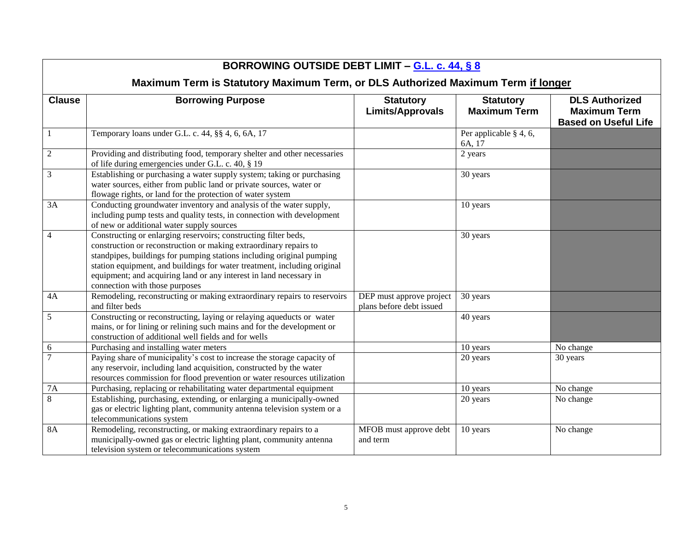|                                                                                  | BORROWING OUTSIDE DEBT LIMIT - G.L. c. 44, § 8                                                                                                                                                                                                                                                                                                                                                    |                                                      |                                         |                                                                             |  |  |  |
|----------------------------------------------------------------------------------|---------------------------------------------------------------------------------------------------------------------------------------------------------------------------------------------------------------------------------------------------------------------------------------------------------------------------------------------------------------------------------------------------|------------------------------------------------------|-----------------------------------------|-----------------------------------------------------------------------------|--|--|--|
| Maximum Term is Statutory Maximum Term, or DLS Authorized Maximum Term if longer |                                                                                                                                                                                                                                                                                                                                                                                                   |                                                      |                                         |                                                                             |  |  |  |
| <b>Clause</b>                                                                    | <b>Borrowing Purpose</b>                                                                                                                                                                                                                                                                                                                                                                          | <b>Statutory</b><br><b>Limits/Approvals</b>          | <b>Statutory</b><br><b>Maximum Term</b> | <b>DLS Authorized</b><br><b>Maximum Term</b><br><b>Based on Useful Life</b> |  |  |  |
| $\mathbf{1}$                                                                     | Temporary loans under G.L. c. 44, §§ 4, 6, 6A, 17                                                                                                                                                                                                                                                                                                                                                 |                                                      | Per applicable $\S$ 4, 6,<br>6A, 17     |                                                                             |  |  |  |
| $\overline{2}$                                                                   | Providing and distributing food, temporary shelter and other necessaries<br>of life during emergencies under G.L. c. 40, § 19                                                                                                                                                                                                                                                                     |                                                      | 2 years                                 |                                                                             |  |  |  |
| 3                                                                                | Establishing or purchasing a water supply system; taking or purchasing<br>water sources, either from public land or private sources, water or<br>flowage rights, or land for the protection of water system                                                                                                                                                                                       |                                                      | 30 years                                |                                                                             |  |  |  |
| 3A                                                                               | Conducting groundwater inventory and analysis of the water supply,<br>including pump tests and quality tests, in connection with development<br>of new or additional water supply sources                                                                                                                                                                                                         |                                                      | 10 years                                |                                                                             |  |  |  |
| $\overline{4}$                                                                   | Constructing or enlarging reservoirs; constructing filter beds,<br>construction or reconstruction or making extraordinary repairs to<br>standpipes, buildings for pumping stations including original pumping<br>station equipment, and buildings for water treatment, including original<br>equipment; and acquiring land or any interest in land necessary in<br>connection with those purposes |                                                      | 30 years                                |                                                                             |  |  |  |
| 4A                                                                               | Remodeling, reconstructing or making extraordinary repairs to reservoirs<br>and filter beds                                                                                                                                                                                                                                                                                                       | DEP must approve project<br>plans before debt issued | 30 years                                |                                                                             |  |  |  |
| 5                                                                                | Constructing or reconstructing, laying or relaying aqueducts or water<br>mains, or for lining or relining such mains and for the development or<br>construction of additional well fields and for wells                                                                                                                                                                                           |                                                      | 40 years                                |                                                                             |  |  |  |
| 6                                                                                | Purchasing and installing water meters                                                                                                                                                                                                                                                                                                                                                            |                                                      | 10 years                                | No change                                                                   |  |  |  |
| $\overline{7}$                                                                   | Paying share of municipality's cost to increase the storage capacity of<br>any reservoir, including land acquisition, constructed by the water<br>resources commission for flood prevention or water resources utilization                                                                                                                                                                        |                                                      | 20 years                                | 30 years                                                                    |  |  |  |
| 7A                                                                               | Purchasing, replacing or rehabilitating water departmental equipment                                                                                                                                                                                                                                                                                                                              |                                                      | 10 years                                | No change                                                                   |  |  |  |
| $\overline{8}$                                                                   | Establishing, purchasing, extending, or enlarging a municipally-owned<br>gas or electric lighting plant, community antenna television system or a<br>telecommunications system                                                                                                                                                                                                                    |                                                      | 20 years                                | No change                                                                   |  |  |  |
| <b>8A</b>                                                                        | Remodeling, reconstructing, or making extraordinary repairs to a<br>municipally-owned gas or electric lighting plant, community antenna<br>television system or telecommunications system                                                                                                                                                                                                         | MFOB must approve debt<br>and term                   | 10 years                                | No change                                                                   |  |  |  |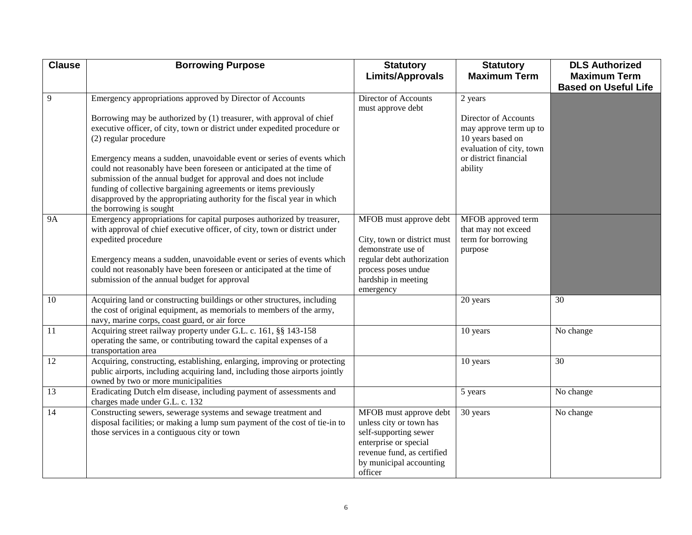| <b>Clause</b> | <b>Borrowing Purpose</b>                                                                                                                                                                                                                                                                                                                                                                                                                                                                                                                                                                                                                | <b>Statutory</b><br><b>Limits/Approvals</b>                                                                                                                             | <b>Statutory</b><br><b>Maximum Term</b>                                                                                                        | <b>DLS Authorized</b><br><b>Maximum Term</b> |
|---------------|-----------------------------------------------------------------------------------------------------------------------------------------------------------------------------------------------------------------------------------------------------------------------------------------------------------------------------------------------------------------------------------------------------------------------------------------------------------------------------------------------------------------------------------------------------------------------------------------------------------------------------------------|-------------------------------------------------------------------------------------------------------------------------------------------------------------------------|------------------------------------------------------------------------------------------------------------------------------------------------|----------------------------------------------|
|               |                                                                                                                                                                                                                                                                                                                                                                                                                                                                                                                                                                                                                                         |                                                                                                                                                                         |                                                                                                                                                | <b>Based on Useful Life</b>                  |
| 9             | Emergency appropriations approved by Director of Accounts<br>Borrowing may be authorized by (1) treasurer, with approval of chief<br>executive officer, of city, town or district under expedited procedure or<br>(2) regular procedure<br>Emergency means a sudden, unavoidable event or series of events which<br>could not reasonably have been foreseen or anticipated at the time of<br>submission of the annual budget for approval and does not include<br>funding of collective bargaining agreements or items previously<br>disapproved by the appropriating authority for the fiscal year in which<br>the borrowing is sought | Director of Accounts<br>must approve debt                                                                                                                               | 2 years<br>Director of Accounts<br>may approve term up to<br>10 years based on<br>evaluation of city, town<br>or district financial<br>ability |                                              |
| <b>9A</b>     | Emergency appropriations for capital purposes authorized by treasurer,<br>with approval of chief executive officer, of city, town or district under<br>expedited procedure<br>Emergency means a sudden, unavoidable event or series of events which<br>could not reasonably have been foreseen or anticipated at the time of<br>submission of the annual budget for approval                                                                                                                                                                                                                                                            | MFOB must approve debt<br>City, town or district must<br>demonstrate use of<br>regular debt authorization<br>process poses undue<br>hardship in meeting<br>emergency    | MFOB approved term<br>that may not exceed<br>term for borrowing<br>purpose                                                                     |                                              |
| 10            | Acquiring land or constructing buildings or other structures, including<br>the cost of original equipment, as memorials to members of the army,<br>navy, marine corps, coast guard, or air force                                                                                                                                                                                                                                                                                                                                                                                                                                        |                                                                                                                                                                         | 20 years                                                                                                                                       | 30                                           |
| 11            | Acquiring street railway property under G.L. c. 161, §§ 143-158<br>operating the same, or contributing toward the capital expenses of a<br>transportation area                                                                                                                                                                                                                                                                                                                                                                                                                                                                          |                                                                                                                                                                         | 10 years                                                                                                                                       | No change                                    |
| 12            | Acquiring, constructing, establishing, enlarging, improving or protecting<br>public airports, including acquiring land, including those airports jointly<br>owned by two or more municipalities                                                                                                                                                                                                                                                                                                                                                                                                                                         |                                                                                                                                                                         | 10 years                                                                                                                                       | 30                                           |
| 13            | Eradicating Dutch elm disease, including payment of assessments and<br>charges made under G.L. c. 132                                                                                                                                                                                                                                                                                                                                                                                                                                                                                                                                   |                                                                                                                                                                         | 5 years                                                                                                                                        | No change                                    |
| 14            | Constructing sewers, sewerage systems and sewage treatment and<br>disposal facilities; or making a lump sum payment of the cost of tie-in to<br>those services in a contiguous city or town                                                                                                                                                                                                                                                                                                                                                                                                                                             | MFOB must approve debt<br>unless city or town has<br>self-supporting sewer<br>enterprise or special<br>revenue fund, as certified<br>by municipal accounting<br>officer | 30 years                                                                                                                                       | No change                                    |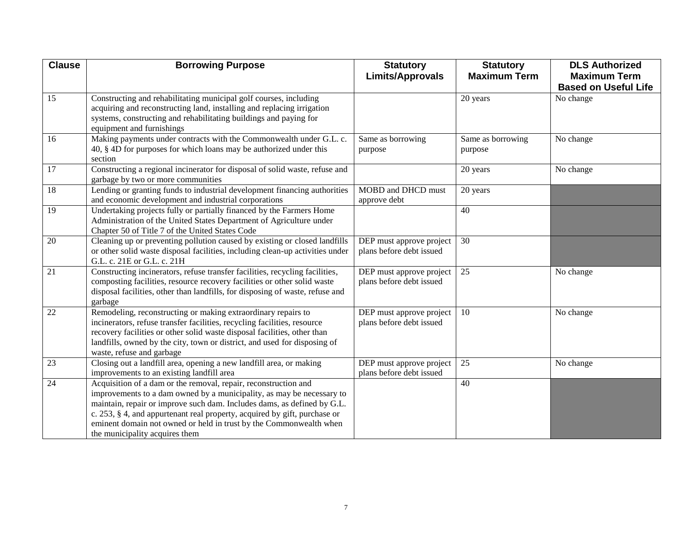| <b>Clause</b>   | <b>Borrowing Purpose</b>                                                                                                          | <b>Statutory</b>                                     | <b>Statutory</b>    | <b>DLS Authorized</b>       |
|-----------------|-----------------------------------------------------------------------------------------------------------------------------------|------------------------------------------------------|---------------------|-----------------------------|
|                 |                                                                                                                                   | <b>Limits/Approvals</b>                              | <b>Maximum Term</b> | <b>Maximum Term</b>         |
|                 |                                                                                                                                   |                                                      |                     | <b>Based on Useful Life</b> |
| 15              | Constructing and rehabilitating municipal golf courses, including                                                                 |                                                      | 20 years            | No change                   |
|                 | acquiring and reconstructing land, installing and replacing irrigation                                                            |                                                      |                     |                             |
|                 | systems, constructing and rehabilitating buildings and paying for                                                                 |                                                      |                     |                             |
|                 | equipment and furnishings                                                                                                         |                                                      |                     |                             |
| 16              | Making payments under contracts with the Commonwealth under G.L. c.                                                               | Same as borrowing                                    | Same as borrowing   | No change                   |
|                 | 40, § 4D for purposes for which loans may be authorized under this                                                                | purpose                                              | purpose             |                             |
|                 | section                                                                                                                           |                                                      |                     |                             |
| 17              | Constructing a regional incinerator for disposal of solid waste, refuse and                                                       |                                                      | 20 years            | No change                   |
| 18              | garbage by two or more communities                                                                                                | MOBD and DHCD must                                   |                     |                             |
|                 | Lending or granting funds to industrial development financing authorities<br>and economic development and industrial corporations | approve debt                                         | 20 years            |                             |
| $\overline{19}$ | Undertaking projects fully or partially financed by the Farmers Home                                                              |                                                      | 40                  |                             |
|                 | Administration of the United States Department of Agriculture under                                                               |                                                      |                     |                             |
|                 | Chapter 50 of Title 7 of the United States Code                                                                                   |                                                      |                     |                             |
| 20              | Cleaning up or preventing pollution caused by existing or closed landfills                                                        | DEP must approve project                             | 30                  |                             |
|                 | or other solid waste disposal facilities, including clean-up activities under                                                     | plans before debt issued                             |                     |                             |
|                 | G.L. c. 21E or G.L. c. 21H                                                                                                        |                                                      |                     |                             |
| 21              | Constructing incinerators, refuse transfer facilities, recycling facilities,                                                      | DEP must approve project                             | 25                  | No change                   |
|                 | composting facilities, resource recovery facilities or other solid waste                                                          | plans before debt issued                             |                     |                             |
|                 | disposal facilities, other than landfills, for disposing of waste, refuse and                                                     |                                                      |                     |                             |
|                 | garbage                                                                                                                           |                                                      |                     |                             |
| 22              | Remodeling, reconstructing or making extraordinary repairs to                                                                     | DEP must approve project                             | 10                  | No change                   |
|                 | incinerators, refuse transfer facilities, recycling facilities, resource                                                          | plans before debt issued                             |                     |                             |
|                 | recovery facilities or other solid waste disposal facilities, other than                                                          |                                                      |                     |                             |
|                 | landfills, owned by the city, town or district, and used for disposing of                                                         |                                                      |                     |                             |
|                 | waste, refuse and garbage                                                                                                         |                                                      |                     |                             |
| 23              | Closing out a landfill area, opening a new landfill area, or making                                                               | DEP must approve project<br>plans before debt issued | 25                  | No change                   |
| 24              | improvements to an existing landfill area<br>Acquisition of a dam or the removal, repair, reconstruction and                      |                                                      | 40                  |                             |
|                 | improvements to a dam owned by a municipality, as may be necessary to                                                             |                                                      |                     |                             |
|                 | maintain, repair or improve such dam. Includes dams, as defined by G.L.                                                           |                                                      |                     |                             |
|                 | c. 253, § 4, and appurtenant real property, acquired by gift, purchase or                                                         |                                                      |                     |                             |
|                 | eminent domain not owned or held in trust by the Commonwealth when                                                                |                                                      |                     |                             |
|                 | the municipality acquires them                                                                                                    |                                                      |                     |                             |